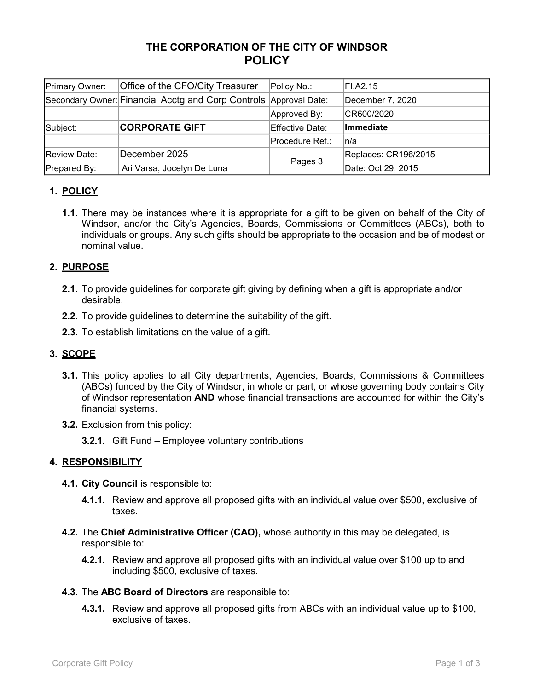# **THE CORPORATION OF THE CITY OF WINDSOR POLICY**

| Primary Owner: | Office of the CFO/City Treasurer                                  | Policy No.:     | FI.A2.15             |
|----------------|-------------------------------------------------------------------|-----------------|----------------------|
|                | Secondary Owner: Financial Acctg and Corp Controls Approval Date: |                 | December 7, 2020     |
|                |                                                                   | Approved By:    | CR600/2020           |
| Subject:       | <b>CORPORATE GIFT</b>                                             | Effective Date: | Immediate            |
|                |                                                                   | Procedure Ref.: | ∣n/a                 |
| Review Date:   | December 2025                                                     | Pages 3         | Replaces: CR196/2015 |
| Prepared By:   | Ari Varsa, Jocelyn De Luna                                        |                 | Date: Oct 29, 2015   |

## **1. POLICY**

**1.1.** There may be instances where it is appropriate for a gift to be given on behalf of the City of Windsor, and/or the City's Agencies, Boards, Commissions or Committees (ABCs), both to individuals or groups. Any such gifts should be appropriate to the occasion and be of modest or nominal value.

## **2. PURPOSE**

- **2.1.** To provide guidelines for corporate gift giving by defining when a gift is appropriate and/or desirable.
- **2.2.** To provide guidelines to determine the suitability of the gift.
- **2.3.** To establish limitations on the value of a gift.

## **3. SCOPE**

- **3.1.** This policy applies to all City departments, Agencies, Boards, Commissions & Committees (ABCs) funded by the City of Windsor, in whole or part, or whose governing body contains City of Windsor representation **AND** whose financial transactions are accounted for within the City's financial systems.
- **3.2.** Exclusion from this policy:
	- **3.2.1.** Gift Fund Employee voluntary contributions

### **4. RESPONSIBILITY**

- **4.1. City Council** is responsible to:
	- **4.1.1.** Review and approve all proposed gifts with an individual value over \$500, exclusive of taxes.
- **4.2.** The **Chief Administrative Officer (CAO),** whose authority in this may be delegated, is responsible to:
	- **4.2.1.** Review and approve all proposed gifts with an individual value over \$100 up to and including \$500, exclusive of taxes.
- **4.3.** The **ABC Board of Directors** are responsible to:
	- **4.3.1.** Review and approve all proposed gifts from ABCs with an individual value up to \$100, exclusive of taxes.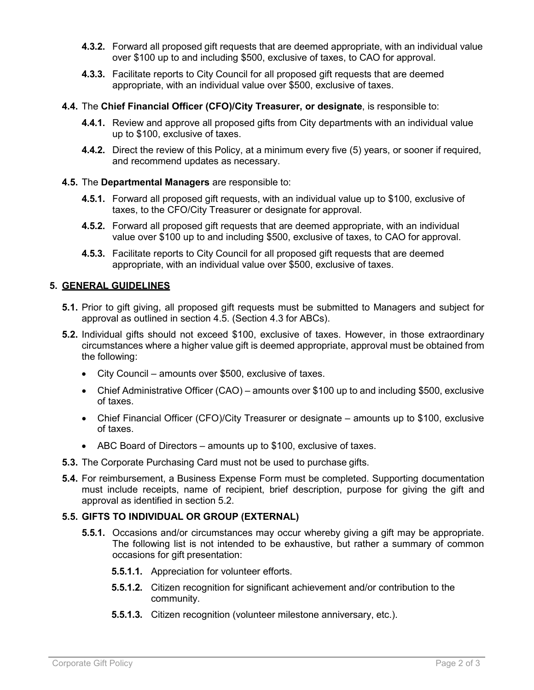- **4.3.2.** Forward all proposed gift requests that are deemed appropriate, with an individual value over \$100 up to and including \$500, exclusive of taxes, to CAO for approval.
- **4.3.3.** Facilitate reports to City Council for all proposed gift requests that are deemed appropriate, with an individual value over \$500, exclusive of taxes.
- **4.4.** The **Chief Financial Officer (CFO)/City Treasurer, or designate**, is responsible to:
	- **4.4.1.** Review and approve all proposed gifts from City departments with an individual value up to \$100, exclusive of taxes.
	- **4.4.2.** Direct the review of this Policy, at a minimum every five (5) years, or sooner if required, and recommend updates as necessary.
- **4.5.** The **Departmental Managers** are responsible to:
	- **4.5.1.** Forward all proposed gift requests, with an individual value up to \$100, exclusive of taxes, to the CFO/City Treasurer or designate for approval.
	- **4.5.2.** Forward all proposed gift requests that are deemed appropriate, with an individual value over \$100 up to and including \$500, exclusive of taxes, to CAO for approval.
	- **4.5.3.** Facilitate reports to City Council for all proposed gift requests that are deemed appropriate, with an individual value over \$500, exclusive of taxes.

### **5. GENERAL GUIDELINES**

- **5.1.** Prior to gift giving, all proposed gift requests must be submitted to Managers and subject for approval as outlined in section 4.5. (Section 4.3 for ABCs).
- **5.2.** Individual gifts should not exceed \$100, exclusive of taxes. However, in those extraordinary circumstances where a higher value gift is deemed appropriate, approval must be obtained from the following:
	- City Council amounts over \$500, exclusive of taxes.
	- Chief Administrative Officer (CAO) amounts over \$100 up to and including \$500, exclusive of taxes.
	- Chief Financial Officer (CFO)/City Treasurer or designate amounts up to \$100, exclusive of taxes.
	- ABC Board of Directors amounts up to \$100, exclusive of taxes.
- **5.3.** The Corporate Purchasing Card must not be used to purchase gifts.
- **5.4.** For reimbursement, a Business Expense Form must be completed. Supporting documentation must include receipts, name of recipient, brief description, purpose for giving the gift and approval as identified in section 5.2.

### **5.5. GIFTS TO INDIVIDUAL OR GROUP (EXTERNAL)**

- **5.5.1.** Occasions and/or circumstances may occur whereby giving a gift may be appropriate. The following list is not intended to be exhaustive, but rather a summary of common occasions for gift presentation:
	- **5.5.1.1.** Appreciation for volunteer efforts.
	- **5.5.1.2.** Citizen recognition for significant achievement and/or contribution to the community.
	- **5.5.1.3.** Citizen recognition (volunteer milestone anniversary, etc.).